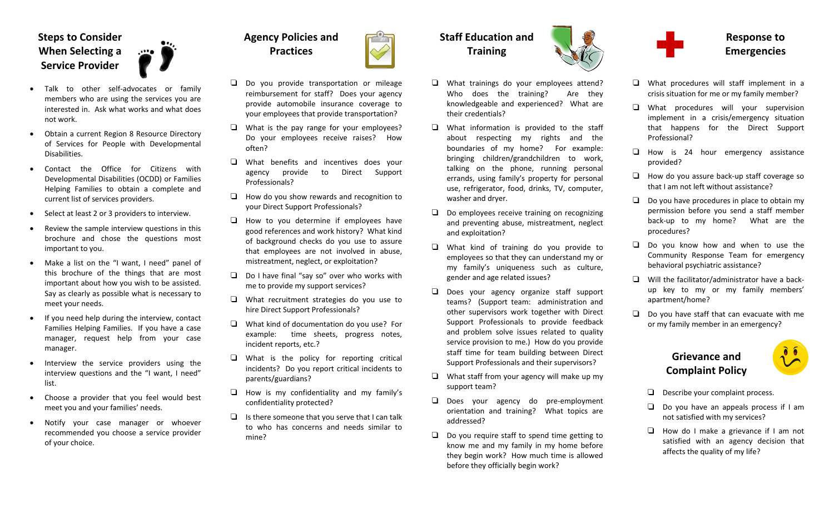### **Steps to Consider When Selecting aService Provider**

• Talk to other self‐advocates or family members who are using the services you are interested in. Ask what works and what does not work.

 $\ddotsc$ 

- Obtain <sup>a</sup> current Region 8 Resource Directory of Services for People with Developmental Disabilities.
- • Contact the Office for Citizens withDevelopmental Disabilities (OCDD) or Families Helping Families to obtain <sup>a</sup> complete and current list of services providers.
- •• Select at least 2 or 3 providers to interview.
- • Review the sample interview questions in this brochure and chose the questions most important to you.
- • Make <sup>a</sup> list on the "I want, I need" panel of this brochure of the things that are most important about how you wish to be assisted. Say as clearly as possible what is necessary to meet your needs.
- • If you need help during the interview, contact Families Helping Families. If you have <sup>a</sup> case manager, request help from your case manager.
- Interview the service providers using the interview questions and the "I want, I need" list.
- Choose <sup>a</sup> provider that you feel would best meet you and your families' needs.
- • Notify your case manager or whoever recommended you choose <sup>a</sup> service provider of your choice.



- $\square$  Do you provide transportation or mileage reimbursement for staff? Does your agency provide automobile insurance coverage to your employees that provide transportation?
- $\Box$  What is the pay range for your employees? Do your employees receive raises? How often?
- T What benefits and incentives does your agency provide to Direct Support Professionals?
- $\Box$  How do you show rewards and recognition to your Direct Support Professionals?
- $\square$  How to you determine if employees have good references and work history? What kind of background checks do you use to assure that employees are not involved in abuse, mistreatment, neglect, or exploitation?
- $\square$  Do I have final "say so" over who works with me to provide my support services?
- $\square$  What recruitment strategies do you use to hire Direct Support Professionals?
- $\square$  What kind of documentation do you use? For example: time sheets, progress notes, incident reports, etc.?
- $\square$  What is the policy for reporting critical incidents? Do you report critical incidents to parents/guardians?
- $\square$  How is my confidentiality and my family's confidentiality protected?
- $\Box$  Is there someone that you serve that I can talk to who has concerns and needs similar to mine?

# **Staff Education and Training**



- $\square$  What information is provided to the staff about respecting my rights and the boundaries of my home? For example: bringing children/grandchildren to work, talking on the phone, running personal errands, using family's property for personal use, refrigerator, food, drinks, TV, computer, washer and dryer.
- $\square$  Do employees receive training on recognizing and preventing abuse, mistreatment, neglect and exploitation?
- T What kind of training do you provide to employees so that they can understand my or my family's uniqueness such as culture, gender and age related issues?
- T Does your agency organize staff support teams? (Support team: administration and other supervisors work together with Direct Support Professionals to provide feedback and problem solve issues related to quality service provision to me.) How do you provide staff time for team building between Direct Support Professionals and their supervisors?
- $\square$  What staff from your agency will make up my support team?
- T Does your agency do pre‐employment orientation and training? What topics are addressed?
- $\square$  Do you require staff to spend time getting to know me and my family in my home before they begin work? How much time is allowed before they officially begin work?



#### **Response to Emergencies**

- $\square$  What procedures will staff implement in a crisis situation for me or my family member?
- T What procedures will your supervision implement in <sup>a</sup> crisis/emergency situation that happens for the Direct Support Professional?
- $\square$  How is 24 hour emergency assistance provided?
- $\square$  How do you assure back-up staff coverage so that I am not left without assistance?
- $\square$  Do you have procedures in place to obtain my permission before you send <sup>a</sup> staff member back‐up to my home? What are the procedures?
- $\Box$  Do you know how and when to use the Community Response Team for emergency behavioral psychiatric assistance?
- $\square$  Will the facilitator/administrator have a backup key to my or my family members' apartment/home?
- $\square$  Do you have staff that can evacuate with me or my family member in an emergency?

#### **Grievance andComplaint Policy**



- $\Box$  Describe your complaint process.
- $\square$  Do you have an appeals process if I am not satisfied with my services?
- T How do I make <sup>a</sup> grievance if I am not satisfied with an agency decision that affects the quality of my life?